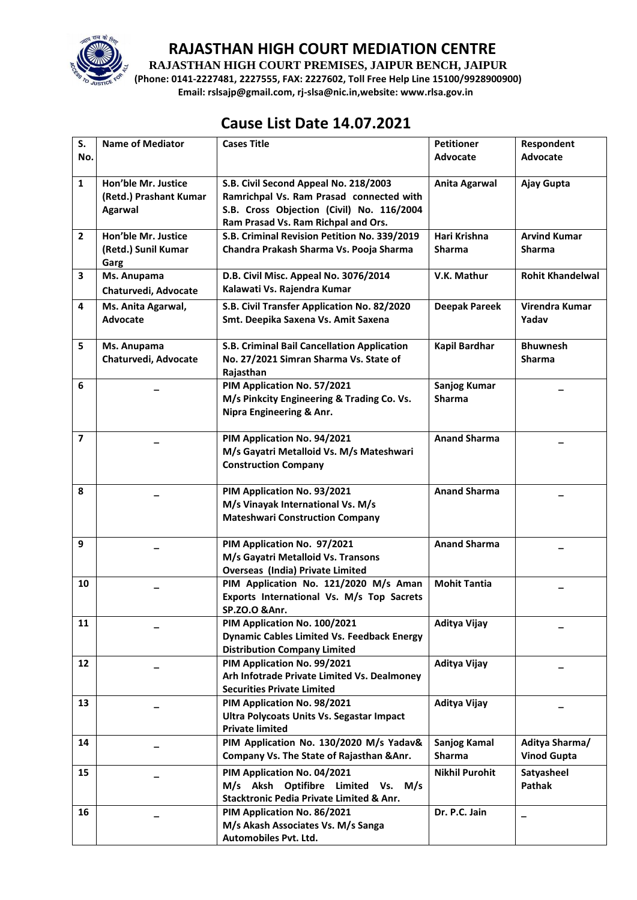

**RAJASTHAN HIGH COURT PREMISES, JAIPUR BENCH, JAIPUR**

**(Phone: 0141-2227481, 2227555, FAX: 2227602, Toll Free Help Line 15100/9928900900) Email: rslsajp@gmail.com, rj-slsa@nic.in,website: www.rlsa.gov.in**

### **Cause List Date 14.07.2021**

| S.                      | <b>Name of Mediator</b> | <b>Cases Title</b>                                               | <b>Petitioner</b>     | Respondent              |
|-------------------------|-------------------------|------------------------------------------------------------------|-----------------------|-------------------------|
| No.                     |                         |                                                                  | Advocate              | <b>Advocate</b>         |
| $\mathbf{1}$            | Hon'ble Mr. Justice     | S.B. Civil Second Appeal No. 218/2003                            | Anita Agarwal         | Ajay Gupta              |
|                         | (Retd.) Prashant Kumar  | Ramrichpal Vs. Ram Prasad connected with                         |                       |                         |
|                         | <b>Agarwal</b>          | S.B. Cross Objection (Civil) No. 116/2004                        |                       |                         |
|                         |                         | Ram Prasad Vs. Ram Richpal and Ors.                              |                       |                         |
| $\overline{2}$          | Hon'ble Mr. Justice     | S.B. Criminal Revision Petition No. 339/2019                     | Hari Krishna          | <b>Arvind Kumar</b>     |
|                         | (Retd.) Sunil Kumar     | Chandra Prakash Sharma Vs. Pooja Sharma                          | <b>Sharma</b>         | <b>Sharma</b>           |
|                         | Garg                    |                                                                  |                       |                         |
| 3                       | Ms. Anupama             | D.B. Civil Misc. Appeal No. 3076/2014                            | V.K. Mathur           | <b>Rohit Khandelwal</b> |
|                         | Chaturvedi, Advocate    | Kalawati Vs. Rajendra Kumar                                      |                       |                         |
| 4                       | Ms. Anita Agarwal,      | S.B. Civil Transfer Application No. 82/2020                      | <b>Deepak Pareek</b>  | Virendra Kumar          |
|                         | Advocate                | Smt. Deepika Saxena Vs. Amit Saxena                              |                       | Yadav                   |
|                         |                         |                                                                  |                       |                         |
| 5                       | Ms. Anupama             | S.B. Criminal Bail Cancellation Application                      | <b>Kapil Bardhar</b>  | <b>Bhuwnesh</b>         |
|                         | Chaturvedi, Advocate    | No. 27/2021 Simran Sharma Vs. State of                           |                       | <b>Sharma</b>           |
|                         |                         | Rajasthan                                                        |                       |                         |
| 6                       |                         | PIM Application No. 57/2021                                      | <b>Sanjog Kumar</b>   |                         |
|                         |                         | M/s Pinkcity Engineering & Trading Co. Vs.                       | <b>Sharma</b>         |                         |
|                         |                         | Nipra Engineering & Anr.                                         |                       |                         |
|                         |                         |                                                                  |                       |                         |
| $\overline{\mathbf{z}}$ |                         | PIM Application No. 94/2021                                      | <b>Anand Sharma</b>   |                         |
|                         |                         | M/s Gayatri Metalloid Vs. M/s Mateshwari                         |                       |                         |
|                         |                         | <b>Construction Company</b>                                      |                       |                         |
| 8                       |                         |                                                                  | <b>Anand Sharma</b>   |                         |
|                         |                         | PIM Application No. 93/2021<br>M/s Vinayak International Vs. M/s |                       |                         |
|                         |                         | <b>Mateshwari Construction Company</b>                           |                       |                         |
|                         |                         |                                                                  |                       |                         |
| 9                       |                         | PIM Application No. 97/2021                                      | <b>Anand Sharma</b>   |                         |
|                         |                         | M/s Gayatri Metalloid Vs. Transons                               |                       |                         |
|                         |                         | <b>Overseas (India) Private Limited</b>                          |                       |                         |
| 10                      |                         | PIM Application No. 121/2020 M/s Aman                            | <b>Mohit Tantia</b>   |                         |
|                         |                         | Exports International Vs. M/s Top Sacrets                        |                       |                         |
|                         |                         | SP.ZO.O & Anr.                                                   |                       |                         |
| 11                      |                         | PIM Application No. 100/2021                                     | Aditya Vijay          |                         |
|                         |                         | <b>Dynamic Cables Limited Vs. Feedback Energy</b>                |                       |                         |
|                         |                         | <b>Distribution Company Limited</b>                              |                       |                         |
| 12                      |                         | PIM Application No. 99/2021                                      | Aditya Vijay          |                         |
|                         |                         | Arh Infotrade Private Limited Vs. Dealmoney                      |                       |                         |
|                         |                         | <b>Securities Private Limited</b>                                |                       |                         |
| 13                      |                         | PIM Application No. 98/2021                                      | Aditya Vijay          |                         |
|                         |                         | Ultra Polycoats Units Vs. Segastar Impact                        |                       |                         |
|                         |                         | <b>Private limited</b>                                           |                       |                         |
| 14                      |                         | PIM Application No. 130/2020 M/s Yadav&                          | <b>Sanjog Kamal</b>   | Aditya Sharma/          |
|                         |                         | Company Vs. The State of Rajasthan & Anr.                        | Sharma                | <b>Vinod Gupta</b>      |
| 15                      |                         | PIM Application No. 04/2021                                      | <b>Nikhil Purohit</b> | Satyasheel              |
|                         |                         | M/s Aksh Optifibre Limited<br>Vs.<br>M/s                         |                       | Pathak                  |
|                         |                         | Stacktronic Pedia Private Limited & Anr.                         |                       |                         |
| 16                      |                         | PIM Application No. 86/2021                                      | Dr. P.C. Jain         |                         |
|                         |                         | M/s Akash Associates Vs. M/s Sanga                               |                       |                         |
|                         |                         | Automobiles Pvt. Ltd.                                            |                       |                         |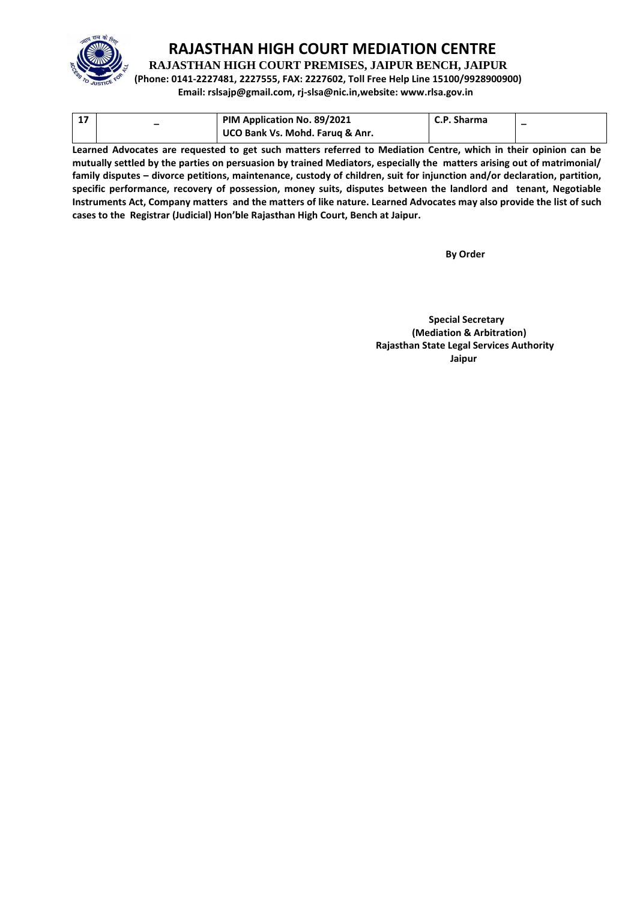

**RAJASTHAN HIGH COURT PREMISES, JAIPUR BENCH, JAIPUR**

**(Phone: 0141-2227481, 2227555, FAX: 2227602, Toll Free Help Line 15100/9928900900)**

**Email: rslsajp@gmail.com, rj-slsa@nic.in,website: www.rlsa.gov.in**

|  | PIM Application No. 89/2021     | C.P. Sharma |  |
|--|---------------------------------|-------------|--|
|  | UCO Bank Vs. Mohd. Faruq & Anr. |             |  |

**Learned Advocates are requested to get such matters referred to Mediation Centre, which in their opinion can be mutually settled by the parties on persuasion by trained Mediators, especially the matters arising out of matrimonial/ family disputes – divorce petitions, maintenance, custody of children, suit for injunction and/or declaration, partition, specific performance, recovery of possession, money suits, disputes between the landlord and tenant, Negotiable Instruments Act, Company matters and the matters of like nature. Learned Advocates may also provide the list of such cases to the Registrar (Judicial) Hon'ble Rajasthan High Court, Bench at Jaipur.** 

 **By Order** 

 **Special Secretary (Mediation & Arbitration) Rajasthan State Legal Services Authority Jaipur**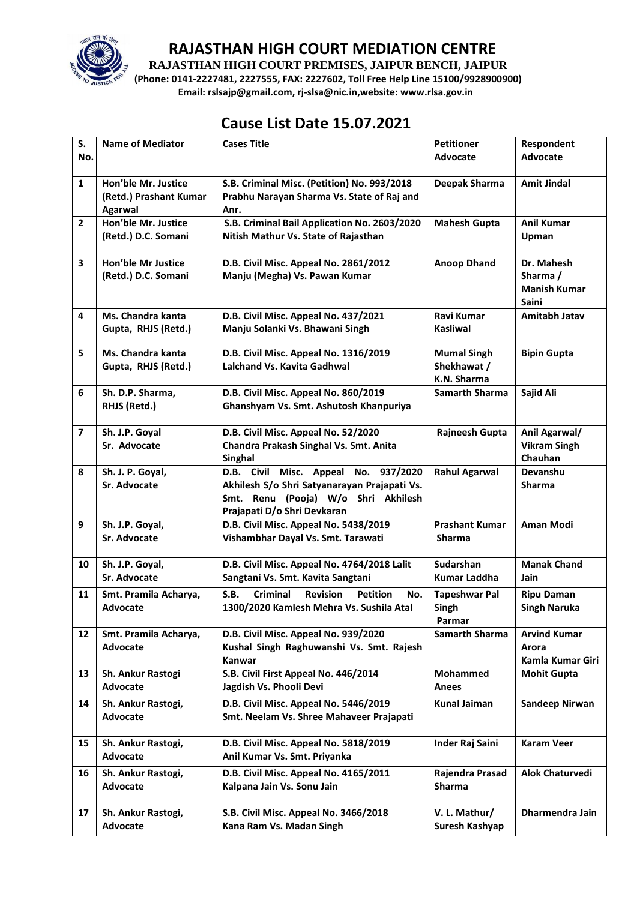

**RAJASTHAN HIGH COURT PREMISES, JAIPUR BENCH, JAIPUR**

**(Phone: 0141-2227481, 2227555, FAX: 2227602, Toll Free Help Line 15100/9928900900) Email: rslsajp@gmail.com, rj-slsa@nic.in,website: www.rlsa.gov.in**

# **Cause List Date 15.07.2021**

| S.                      | <b>Name of Mediator</b>           | <b>Cases Title</b>                                            | <b>Petitioner</b>                    | Respondent             |
|-------------------------|-----------------------------------|---------------------------------------------------------------|--------------------------------------|------------------------|
| No.                     |                                   |                                                               | Advocate                             | <b>Advocate</b>        |
| $\mathbf{1}$            | Hon'ble Mr. Justice               | S.B. Criminal Misc. (Petition) No. 993/2018                   | Deepak Sharma                        | <b>Amit Jindal</b>     |
|                         | (Retd.) Prashant Kumar<br>Agarwal | Prabhu Narayan Sharma Vs. State of Raj and<br>Anr.            |                                      |                        |
| $\overline{2}$          | Hon'ble Mr. Justice               | S.B. Criminal Bail Application No. 2603/2020                  | <b>Mahesh Gupta</b>                  | <b>Anil Kumar</b>      |
|                         | (Retd.) D.C. Somani               | Nitish Mathur Vs. State of Rajasthan                          |                                      | Upman                  |
| 3                       | <b>Hon'ble Mr Justice</b>         | D.B. Civil Misc. Appeal No. 2861/2012                         | <b>Anoop Dhand</b>                   | Dr. Mahesh             |
|                         | (Retd.) D.C. Somani               | Manju (Megha) Vs. Pawan Kumar                                 |                                      | Sharma /               |
|                         |                                   |                                                               |                                      | <b>Manish Kumar</b>    |
|                         |                                   |                                                               |                                      | Saini                  |
| $\overline{\mathbf{4}}$ | Ms. Chandra kanta                 | D.B. Civil Misc. Appeal No. 437/2021                          | Ravi Kumar                           | <b>Amitabh Jatav</b>   |
|                         | Gupta, RHJS (Retd.)               | Manju Solanki Vs. Bhawani Singh                               | <b>Kasliwal</b>                      |                        |
| 5                       | Ms. Chandra kanta                 | D.B. Civil Misc. Appeal No. 1316/2019                         | <b>Mumal Singh</b>                   | <b>Bipin Gupta</b>     |
|                         | Gupta, RHJS (Retd.)               | Lalchand Vs. Kavita Gadhwal                                   | Shekhawat /                          |                        |
| 6                       | Sh. D.P. Sharma,                  | D.B. Civil Misc. Appeal No. 860/2019                          | K.N. Sharma<br><b>Samarth Sharma</b> | Sajid Ali              |
|                         | RHJS (Retd.)                      | Ghanshyam Vs. Smt. Ashutosh Khanpuriya                        |                                      |                        |
|                         |                                   |                                                               |                                      |                        |
| $\overline{\mathbf{z}}$ | Sh. J.P. Goyal                    | D.B. Civil Misc. Appeal No. 52/2020                           | Rajneesh Gupta                       | Anil Agarwal/          |
|                         | Sr. Advocate                      | Chandra Prakash Singhal Vs. Smt. Anita                        |                                      | <b>Vikram Singh</b>    |
| 8                       | Sh. J. P. Goyal,                  | Singhal<br>D.B. Civil Misc. Appeal No. 937/2020               | <b>Rahul Agarwal</b>                 | Chauhan<br>Devanshu    |
|                         | <b>Sr. Advocate</b>               | Akhilesh S/o Shri Satyanarayan Prajapati Vs.                  |                                      | <b>Sharma</b>          |
|                         |                                   | Smt. Renu (Pooja) W/o Shri Akhilesh                           |                                      |                        |
|                         |                                   | Prajapati D/o Shri Devkaran                                   |                                      |                        |
| 9                       | Sh. J.P. Goyal,                   | D.B. Civil Misc. Appeal No. 5438/2019                         | <b>Prashant Kumar</b>                | <b>Aman Modi</b>       |
|                         | Sr. Advocate                      | Vishambhar Dayal Vs. Smt. Tarawati                            | <b>Sharma</b>                        |                        |
| 10                      | Sh. J.P. Goyal,                   | D.B. Civil Misc. Appeal No. 4764/2018 Lalit                   | Sudarshan                            | <b>Manak Chand</b>     |
|                         | <b>Sr. Advocate</b>               | Sangtani Vs. Smt. Kavita Sangtani                             | <b>Kumar Laddha</b>                  | Jain                   |
| 11                      | Smt. Pramila Acharya,             | S.B.<br>Criminal<br><b>Revision</b><br><b>Petition</b><br>No. | <b>Tapeshwar Pal</b>                 | <b>Ripu Daman</b>      |
|                         | <b>Advocate</b>                   | 1300/2020 Kamlesh Mehra Vs. Sushila Atal                      | Singh                                | <b>Singh Naruka</b>    |
| 12                      | Smt. Pramila Acharya,             | D.B. Civil Misc. Appeal No. 939/2020                          | Parmar<br><b>Samarth Sharma</b>      | <b>Arvind Kumar</b>    |
|                         | <b>Advocate</b>                   | Kushal Singh Raghuwanshi Vs. Smt. Rajesh                      |                                      | Arora                  |
|                         |                                   | Kanwar                                                        |                                      | Kamla Kumar Giri       |
| 13                      | Sh. Ankur Rastogi                 | S.B. Civil First Appeal No. 446/2014                          | <b>Mohammed</b>                      | <b>Mohit Gupta</b>     |
|                         | Advocate                          | Jagdish Vs. Phooli Devi                                       | Anees                                |                        |
| 14                      | Sh. Ankur Rastogi,                | D.B. Civil Misc. Appeal No. 5446/2019                         | <b>Kunal Jaiman</b>                  | <b>Sandeep Nirwan</b>  |
|                         | Advocate                          | Smt. Neelam Vs. Shree Mahaveer Prajapati                      |                                      |                        |
| 15                      | Sh. Ankur Rastogi,                | D.B. Civil Misc. Appeal No. 5818/2019                         | <b>Inder Raj Saini</b>               | <b>Karam Veer</b>      |
|                         | Advocate                          | Anil Kumar Vs. Smt. Priyanka                                  |                                      |                        |
| 16                      | Sh. Ankur Rastogi,                | D.B. Civil Misc. Appeal No. 4165/2011                         | Rajendra Prasad                      | <b>Alok Chaturvedi</b> |
|                         | Advocate                          | Kalpana Jain Vs. Sonu Jain                                    | <b>Sharma</b>                        |                        |
| 17                      | Sh. Ankur Rastogi,                | S.B. Civil Misc. Appeal No. 3466/2018                         | V. L. Mathur/                        | Dharmendra Jain        |
|                         | Advocate                          | Kana Ram Vs. Madan Singh                                      | Suresh Kashyap                       |                        |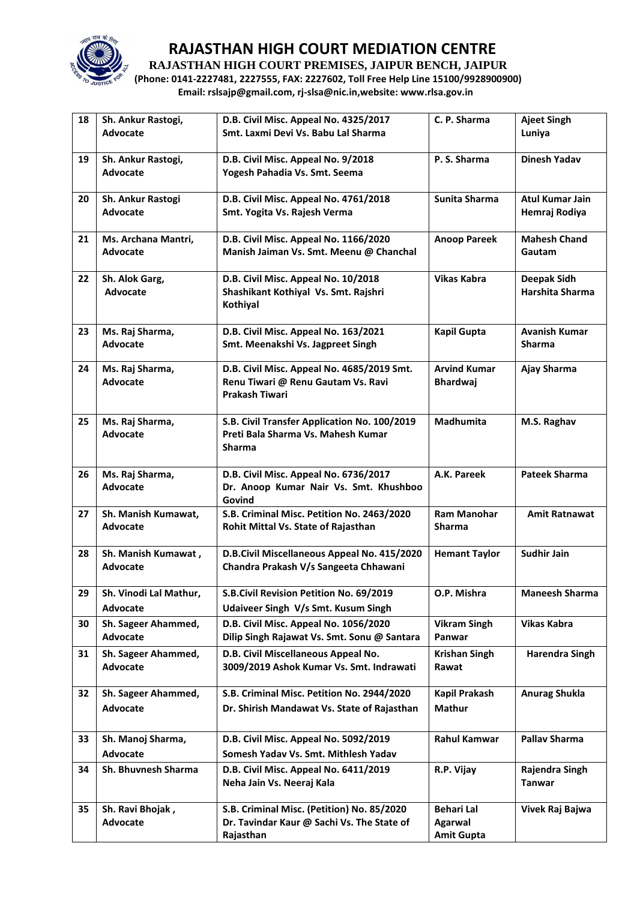

**RAJASTHAN HIGH COURT PREMISES, JAIPUR BENCH, JAIPUR**

**(Phone: 0141-2227481, 2227555, FAX: 2227602, Toll Free Help Line 15100/9928900900) Email: rslsajp@gmail.com, rj-slsa@nic.in,website: www.rlsa.gov.in**

| 18 | Sh. Ankur Rastogi,          | D.B. Civil Misc. Appeal No. 4325/2017                                              | C. P. Sharma                        | <b>Ajeet Singh</b>    |
|----|-----------------------------|------------------------------------------------------------------------------------|-------------------------------------|-----------------------|
|    | Advocate                    | Smt. Laxmi Devi Vs. Babu Lal Sharma                                                |                                     | Luniya                |
|    |                             |                                                                                    |                                     |                       |
| 19 | Sh. Ankur Rastogi,          | D.B. Civil Misc. Appeal No. 9/2018                                                 | P.S. Sharma                         | <b>Dinesh Yadav</b>   |
|    | Advocate                    | Yogesh Pahadia Vs. Smt. Seema                                                      |                                     |                       |
| 20 | Sh. Ankur Rastogi           | D.B. Civil Misc. Appeal No. 4761/2018                                              | Sunita Sharma                       | Atul Kumar Jain       |
|    | Advocate                    | Smt. Yogita Vs. Rajesh Verma                                                       |                                     | Hemraj Rodiya         |
|    |                             |                                                                                    |                                     |                       |
| 21 | Ms. Archana Mantri,         | D.B. Civil Misc. Appeal No. 1166/2020                                              | <b>Anoop Pareek</b>                 | <b>Mahesh Chand</b>   |
|    | Advocate                    | Manish Jaiman Vs. Smt. Meenu @ Chanchal                                            |                                     | Gautam                |
|    |                             |                                                                                    |                                     |                       |
| 22 | Sh. Alok Garg,              | D.B. Civil Misc. Appeal No. 10/2018                                                | <b>Vikas Kabra</b>                  | Deepak Sidh           |
|    | <b>Advocate</b>             | Shashikant Kothiyal Vs. Smt. Rajshri                                               |                                     | Harshita Sharma       |
|    |                             | Kothiyal                                                                           |                                     |                       |
| 23 | Ms. Raj Sharma,             | D.B. Civil Misc. Appeal No. 163/2021                                               | <b>Kapil Gupta</b>                  | <b>Avanish Kumar</b>  |
|    | <b>Advocate</b>             | Smt. Meenakshi Vs. Jagpreet Singh                                                  |                                     | <b>Sharma</b>         |
|    |                             |                                                                                    |                                     |                       |
| 24 | Ms. Raj Sharma,             | D.B. Civil Misc. Appeal No. 4685/2019 Smt.                                         | <b>Arvind Kumar</b>                 | Ajay Sharma           |
|    | Advocate                    | Renu Tiwari @ Renu Gautam Vs. Ravi                                                 | <b>Bhardwaj</b>                     |                       |
|    |                             | <b>Prakash Tiwari</b>                                                              |                                     |                       |
|    |                             |                                                                                    | Madhumita                           |                       |
| 25 | Ms. Raj Sharma,<br>Advocate | S.B. Civil Transfer Application No. 100/2019<br>Preti Bala Sharma Vs. Mahesh Kumar |                                     | M.S. Raghav           |
|    |                             | <b>Sharma</b>                                                                      |                                     |                       |
|    |                             |                                                                                    |                                     |                       |
| 26 | Ms. Raj Sharma,             | D.B. Civil Misc. Appeal No. 6736/2017                                              | A.K. Pareek                         | <b>Pateek Sharma</b>  |
|    | Advocate                    | Dr. Anoop Kumar Nair Vs. Smt. Khushboo                                             |                                     |                       |
|    |                             | Govind                                                                             |                                     |                       |
| 27 | Sh. Manish Kumawat,         | S.B. Criminal Misc. Petition No. 2463/2020                                         | <b>Ram Manohar</b>                  | <b>Amit Ratnawat</b>  |
|    | Advocate                    | Rohit Mittal Vs. State of Rajasthan                                                | <b>Sharma</b>                       |                       |
| 28 | Sh. Manish Kumawat,         | D.B.Civil Miscellaneous Appeal No. 415/2020                                        | <b>Hemant Taylor</b>                | <b>Sudhir Jain</b>    |
|    | <b>Advocate</b>             | Chandra Prakash V/s Sangeeta Chhawani                                              |                                     |                       |
|    |                             |                                                                                    |                                     |                       |
| 29 | Sh. Vinodi Lal Mathur,      | S.B.Civil Revision Petition No. 69/2019                                            | O.P. Mishra                         | <b>Maneesh Sharma</b> |
|    | <b>Advocate</b>             | Udaiveer Singh V/s Smt. Kusum Singh                                                |                                     |                       |
| 30 | Sh. Sageer Ahammed,         | D.B. Civil Misc. Appeal No. 1056/2020                                              | <b>Vikram Singh</b>                 | <b>Vikas Kabra</b>    |
|    | Advocate                    | Dilip Singh Rajawat Vs. Smt. Sonu @ Santara                                        | Panwar                              |                       |
| 31 | Sh. Sageer Ahammed,         | D.B. Civil Miscellaneous Appeal No.                                                | <b>Krishan Singh</b>                | <b>Harendra Singh</b> |
|    | Advocate                    | 3009/2019 Ashok Kumar Vs. Smt. Indrawati                                           | Rawat                               |                       |
|    |                             |                                                                                    |                                     |                       |
| 32 | Sh. Sageer Ahammed,         | S.B. Criminal Misc. Petition No. 2944/2020                                         | Kapil Prakash                       | <b>Anurag Shukla</b>  |
|    | Advocate                    | Dr. Shirish Mandawat Vs. State of Rajasthan                                        | <b>Mathur</b>                       |                       |
|    |                             |                                                                                    |                                     |                       |
| 33 | Sh. Manoj Sharma,           | D.B. Civil Misc. Appeal No. 5092/2019                                              | <b>Rahul Kamwar</b>                 | <b>Pallav Sharma</b>  |
|    | Advocate                    | Somesh Yadav Vs. Smt. Mithlesh Yadav                                               |                                     |                       |
| 34 | Sh. Bhuvnesh Sharma         | D.B. Civil Misc. Appeal No. 6411/2019                                              | R.P. Vijay                          | Rajendra Singh        |
|    |                             | Neha Jain Vs. Neeraj Kala                                                          |                                     | <b>Tanwar</b>         |
|    |                             |                                                                                    |                                     |                       |
| 35 | Sh. Ravi Bhojak,            | S.B. Criminal Misc. (Petition) No. 85/2020                                         | <b>Behari Lal</b>                   | Vivek Raj Bajwa       |
|    | Advocate                    | Dr. Tavindar Kaur @ Sachi Vs. The State of<br>Rajasthan                            | <b>Agarwal</b><br><b>Amit Gupta</b> |                       |
|    |                             |                                                                                    |                                     |                       |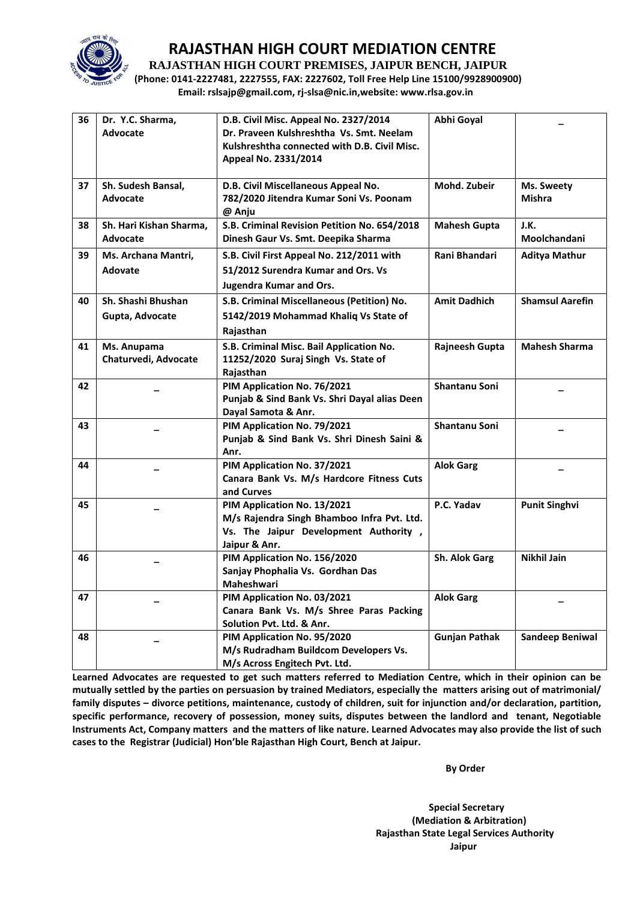

**RAJASTHAN HIGH COURT PREMISES, JAIPUR BENCH, JAIPUR**

**(Phone: 0141-2227481, 2227555, FAX: 2227602, Toll Free Help Line 15100/9928900900) Email: rslsajp@gmail.com, rj-slsa@nic.in,website: www.rlsa.gov.in**

| 36 | Dr. Y.C. Sharma,<br>Advocate          | D.B. Civil Misc. Appeal No. 2327/2014<br>Dr. Praveen Kulshreshtha Vs. Smt. Neelam<br>Kulshreshtha connected with D.B. Civil Misc.<br>Appeal No. 2331/2014 | Abhi Goyal           |                             |
|----|---------------------------------------|-----------------------------------------------------------------------------------------------------------------------------------------------------------|----------------------|-----------------------------|
| 37 | Sh. Sudesh Bansal,<br><b>Advocate</b> | D.B. Civil Miscellaneous Appeal No.<br>782/2020 Jitendra Kumar Soni Vs. Poonam<br>@ Anju                                                                  | Mohd. Zubeir         | Ms. Sweety<br><b>Mishra</b> |
| 38 | Sh. Hari Kishan Sharma,<br>Advocate   | S.B. Criminal Revision Petition No. 654/2018<br>Dinesh Gaur Vs. Smt. Deepika Sharma                                                                       | <b>Mahesh Gupta</b>  | J.K.<br>Moolchandani        |
| 39 | Ms. Archana Mantri,<br>Adovate        | S.B. Civil First Appeal No. 212/2011 with<br>51/2012 Surendra Kumar and Ors. Vs<br><b>Jugendra Kumar and Ors.</b>                                         | Rani Bhandari        | <b>Aditya Mathur</b>        |
| 40 | Sh. Shashi Bhushan<br>Gupta, Advocate | S.B. Criminal Miscellaneous (Petition) No.<br>5142/2019 Mohammad Khaliq Vs State of<br>Rajasthan                                                          | <b>Amit Dadhich</b>  | <b>Shamsul Aarefin</b>      |
| 41 | Ms. Anupama<br>Chaturvedi, Advocate   | S.B. Criminal Misc. Bail Application No.<br>11252/2020 Suraj Singh Vs. State of<br>Rajasthan                                                              | Rajneesh Gupta       | <b>Mahesh Sharma</b>        |
| 42 |                                       | PIM Application No. 76/2021<br>Punjab & Sind Bank Vs. Shri Dayal alias Deen<br>Dayal Samota & Anr.                                                        | Shantanu Soni        |                             |
| 43 |                                       | PIM Application No. 79/2021<br>Punjab & Sind Bank Vs. Shri Dinesh Saini &<br>Anr.                                                                         | Shantanu Soni        |                             |
| 44 |                                       | PIM Application No. 37/2021<br>Canara Bank Vs. M/s Hardcore Fitness Cuts<br>and Curves                                                                    | <b>Alok Garg</b>     |                             |
| 45 |                                       | PIM Application No. 13/2021<br>M/s Rajendra Singh Bhamboo Infra Pvt. Ltd.<br>Vs. The Jaipur Development Authority,<br>Jaipur & Anr.                       | P.C. Yadav           | <b>Punit Singhvi</b>        |
| 46 |                                       | PIM Application No. 156/2020<br>Sanjay Phophalia Vs. Gordhan Das<br>Maheshwari                                                                            | Sh. Alok Garg        | <b>Nikhil Jain</b>          |
| 47 |                                       | PIM Application No. 03/2021<br>Canara Bank Vs. M/s Shree Paras Packing<br>Solution Pvt. Ltd. & Anr.                                                       | <b>Alok Garg</b>     |                             |
| 48 |                                       | PIM Application No. 95/2020<br>M/s Rudradham Buildcom Developers Vs.<br>M/s Across Engitech Pvt. Ltd.                                                     | <b>Gunjan Pathak</b> | <b>Sandeep Beniwal</b>      |

**Learned Advocates are requested to get such matters referred to Mediation Centre, which in their opinion can be mutually settled by the parties on persuasion by trained Mediators, especially the matters arising out of matrimonial/ family disputes – divorce petitions, maintenance, custody of children, suit for injunction and/or declaration, partition, specific performance, recovery of possession, money suits, disputes between the landlord and tenant, Negotiable Instruments Act, Company matters and the matters of like nature. Learned Advocates may also provide the list of such cases to the Registrar (Judicial) Hon'ble Rajasthan High Court, Bench at Jaipur.** 

 **By Order** 

 **Special Secretary (Mediation & Arbitration) Rajasthan State Legal Services Authority Jaipur**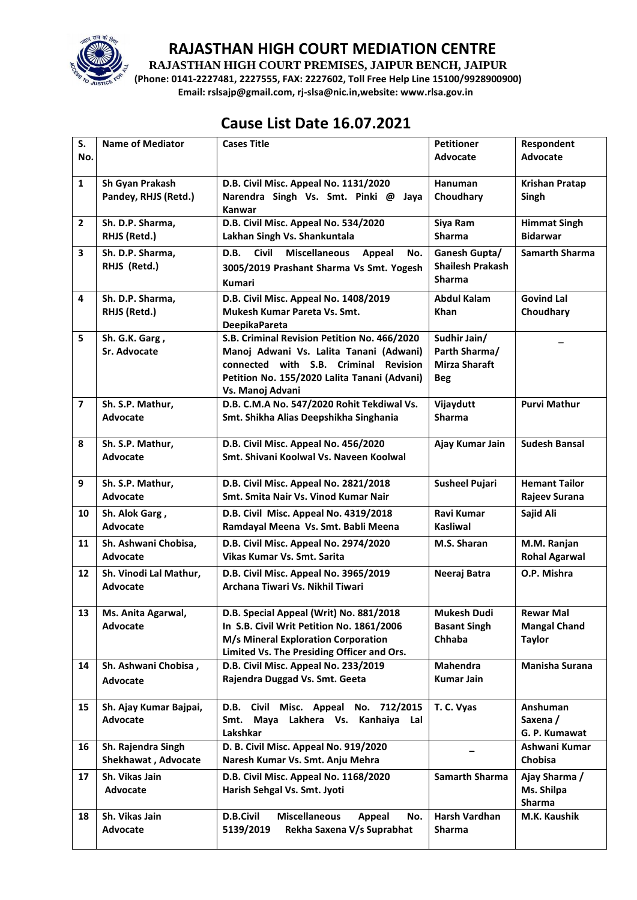

**RAJASTHAN HIGH COURT PREMISES, JAIPUR BENCH, JAIPUR**

**(Phone: 0141-2227481, 2227555, FAX: 2227602, Toll Free Help Line 15100/9928900900) Email: rslsajp@gmail.com, rj-slsa@nic.in,website: www.rlsa.gov.in**

# **Cause List Date 16.07.2021**

| S.<br>No.      | <b>Name of Mediator</b>                   | <b>Cases Title</b>                                                                                                                                                                                   | <b>Petitioner</b><br><b>Advocate</b>                                | Respondent<br><b>Advocate</b>                            |
|----------------|-------------------------------------------|------------------------------------------------------------------------------------------------------------------------------------------------------------------------------------------------------|---------------------------------------------------------------------|----------------------------------------------------------|
| $\mathbf{1}$   | Sh Gyan Prakash<br>Pandey, RHJS (Retd.)   | D.B. Civil Misc. Appeal No. 1131/2020<br>Narendra Singh Vs. Smt. Pinki @ Jaya<br>Kanwar                                                                                                              | Hanuman<br>Choudhary                                                | <b>Krishan Pratap</b><br>Singh                           |
| $\overline{2}$ | Sh. D.P. Sharma,<br>RHJS (Retd.)          | D.B. Civil Misc. Appeal No. 534/2020<br>Lakhan Singh Vs. Shankuntala                                                                                                                                 | Siya Ram<br><b>Sharma</b>                                           | <b>Himmat Singh</b><br><b>Bidarwar</b>                   |
| 3              | Sh. D.P. Sharma,<br>RHJS (Retd.)          | <b>Civil</b><br>D.B.<br><b>Miscellaneous</b><br>Appeal<br>No.<br>3005/2019 Prashant Sharma Vs Smt. Yogesh<br><b>Kumari</b>                                                                           | Ganesh Gupta/<br><b>Shailesh Prakash</b><br><b>Sharma</b>           | <b>Samarth Sharma</b>                                    |
| 4              | Sh. D.P. Sharma,<br>RHJS (Retd.)          | D.B. Civil Misc. Appeal No. 1408/2019<br>Mukesh Kumar Pareta Vs. Smt.<br><b>DeepikaPareta</b>                                                                                                        | <b>Abdul Kalam</b><br><b>Khan</b>                                   | <b>Govind Lal</b><br>Choudhary                           |
| 5              | Sh. G.K. Garg,<br><b>Sr. Advocate</b>     | S.B. Criminal Revision Petition No. 466/2020<br>Manoj Adwani Vs. Lalita Tanani (Adwani)<br>connected with S.B. Criminal Revision<br>Petition No. 155/2020 Lalita Tanani (Advani)<br>Vs. Manoj Advani | Sudhir Jain/<br>Parth Sharma/<br><b>Mirza Sharaft</b><br><b>Beg</b> |                                                          |
| $\overline{7}$ | Sh. S.P. Mathur,<br><b>Advocate</b>       | D.B. C.M.A No. 547/2020 Rohit Tekdiwal Vs.<br>Smt. Shikha Alias Deepshikha Singhania                                                                                                                 | Vijaydutt<br><b>Sharma</b>                                          | <b>Purvi Mathur</b>                                      |
| 8              | Sh. S.P. Mathur,<br><b>Advocate</b>       | D.B. Civil Misc. Appeal No. 456/2020<br>Smt. Shivani Koolwal Vs. Naveen Koolwal                                                                                                                      | Ajay Kumar Jain                                                     | <b>Sudesh Bansal</b>                                     |
| 9              | Sh. S.P. Mathur,<br><b>Advocate</b>       | D.B. Civil Misc. Appeal No. 2821/2018<br>Smt. Smita Nair Vs. Vinod Kumar Nair                                                                                                                        | <b>Susheel Pujari</b>                                               | <b>Hemant Tailor</b><br>Rajeev Surana                    |
| 10             | Sh. Alok Garg,<br><b>Advocate</b>         | D.B. Civil Misc. Appeal No. 4319/2018<br>Ramdayal Meena Vs. Smt. Babli Meena                                                                                                                         | Ravi Kumar<br><b>Kasliwal</b>                                       | Sajid Ali                                                |
| 11             | Sh. Ashwani Chobisa,<br><b>Advocate</b>   | D.B. Civil Misc. Appeal No. 2974/2020<br>Vikas Kumar Vs. Smt. Sarita                                                                                                                                 | M.S. Sharan                                                         | M.M. Ranjan<br><b>Rohal Agarwal</b>                      |
| 12             | Sh. Vinodi Lal Mathur,<br><b>Advocate</b> | D.B. Civil Misc. Appeal No. 3965/2019<br>Archana Tiwari Vs. Nikhil Tiwari                                                                                                                            | Neeraj Batra                                                        | O.P. Mishra                                              |
| 13             | Ms. Anita Agarwal,<br>Advocate            | D.B. Special Appeal (Writ) No. 881/2018<br>In S.B. Civil Writ Petition No. 1861/2006<br>M/s Mineral Exploration Corporation<br>Limited Vs. The Presiding Officer and Ors.                            | Mukesh Dudi<br><b>Basant Singh</b><br>Chhaba                        | <b>Rewar Mal</b><br><b>Mangal Chand</b><br><b>Taylor</b> |
| 14             | Sh. Ashwani Chobisa,<br><b>Advocate</b>   | D.B. Civil Misc. Appeal No. 233/2019<br>Rajendra Duggad Vs. Smt. Geeta                                                                                                                               | Mahendra<br><b>Kumar Jain</b>                                       | <b>Manisha Surana</b>                                    |
| 15             | Sh. Ajay Kumar Bajpai,<br>Advocate        | D.B. Civil Misc. Appeal No. 712/2015<br>Lakhera Vs. Kanhaiya<br>Smt.<br>Mava<br>Lal<br>Lakshkar                                                                                                      | T. C. Vyas                                                          | Anshuman<br>Saxena /<br>G. P. Kumawat                    |
| 16             | Sh. Rajendra Singh<br>Shekhawat, Advocate | D. B. Civil Misc. Appeal No. 919/2020<br>Naresh Kumar Vs. Smt. Anju Mehra                                                                                                                            |                                                                     | Ashwani Kumar<br>Chobisa                                 |
| 17             | Sh. Vikas Jain<br>Advocate                | D.B. Civil Misc. Appeal No. 1168/2020<br>Harish Sehgal Vs. Smt. Jyoti                                                                                                                                | Samarth Sharma                                                      | Ajay Sharma /<br>Ms. Shilpa<br>Sharma                    |
| 18             | Sh. Vikas Jain<br>Advocate                | <b>D.B.Civil</b><br><b>Miscellaneous</b><br>Appeal<br>No.<br>5139/2019<br>Rekha Saxena V/s Suprabhat                                                                                                 | Harsh Vardhan<br>Sharma                                             | M.K. Kaushik                                             |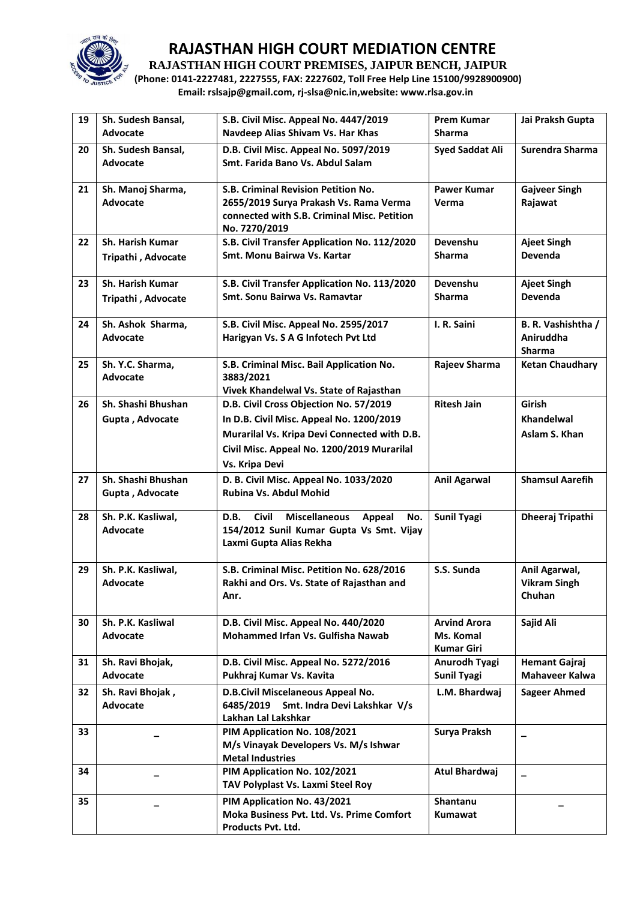

**RAJASTHAN HIGH COURT PREMISES, JAIPUR BENCH, JAIPUR**

**(Phone: 0141-2227481, 2227555, FAX: 2227602, Toll Free Help Line 15100/9928900900) Email: rslsajp@gmail.com, rj-slsa@nic.in,website: www.rlsa.gov.in**

| 19 | Sh. Sudesh Bansal,                     | S.B. Civil Misc. Appeal No. 4447/2019                                                                                                         | <b>Prem Kumar</b>                                     | Jai Praksh Gupta                                 |
|----|----------------------------------------|-----------------------------------------------------------------------------------------------------------------------------------------------|-------------------------------------------------------|--------------------------------------------------|
|    | Advocate                               | Navdeep Alias Shivam Vs. Har Khas                                                                                                             | <b>Sharma</b>                                         |                                                  |
| 20 | Sh. Sudesh Bansal,<br>Advocate         | D.B. Civil Misc. Appeal No. 5097/2019<br>Smt. Farida Bano Vs. Abdul Salam                                                                     | <b>Syed Saddat Ali</b>                                | Surendra Sharma                                  |
| 21 | Sh. Manoj Sharma,<br>Advocate          | S.B. Criminal Revision Petition No.<br>2655/2019 Surya Prakash Vs. Rama Verma<br>connected with S.B. Criminal Misc. Petition<br>No. 7270/2019 | <b>Pawer Kumar</b><br>Verma                           | <b>Gajveer Singh</b><br>Rajawat                  |
| 22 | Sh. Harish Kumar<br>Tripathi, Advocate | S.B. Civil Transfer Application No. 112/2020<br>Smt. Monu Bairwa Vs. Kartar                                                                   | Devenshu<br><b>Sharma</b>                             | <b>Ajeet Singh</b><br>Devenda                    |
| 23 | Sh. Harish Kumar<br>Tripathi, Advocate | S.B. Civil Transfer Application No. 113/2020<br>Smt. Sonu Bairwa Vs. Ramavtar                                                                 | Devenshu<br>Sharma                                    | <b>Ajeet Singh</b><br><b>Devenda</b>             |
| 24 | Sh. Ashok Sharma,<br>Advocate          | S.B. Civil Misc. Appeal No. 2595/2017<br>Harigyan Vs. S A G Infotech Pvt Ltd                                                                  | I. R. Saini                                           | B. R. Vashishtha /<br>Aniruddha<br><b>Sharma</b> |
| 25 | Sh. Y.C. Sharma,<br>Advocate           | S.B. Criminal Misc. Bail Application No.<br>3883/2021<br>Vivek Khandelwal Vs. State of Rajasthan                                              | Rajeev Sharma                                         | <b>Ketan Chaudhary</b>                           |
| 26 | Sh. Shashi Bhushan                     | D.B. Civil Cross Objection No. 57/2019                                                                                                        | <b>Ritesh Jain</b>                                    | Girish                                           |
|    | Gupta, Advocate                        | In D.B. Civil Misc. Appeal No. 1200/2019                                                                                                      |                                                       | <b>Khandelwal</b>                                |
|    |                                        | Murarilal Vs. Kripa Devi Connected with D.B.                                                                                                  |                                                       | Aslam S. Khan                                    |
|    |                                        | Civil Misc. Appeal No. 1200/2019 Murarilal                                                                                                    |                                                       |                                                  |
|    |                                        | Vs. Kripa Devi                                                                                                                                |                                                       |                                                  |
| 27 | Sh. Shashi Bhushan<br>Gupta, Advocate  | D. B. Civil Misc. Appeal No. 1033/2020<br>Rubina Vs. Abdul Mohid                                                                              | <b>Anil Agarwal</b>                                   | <b>Shamsul Aarefih</b>                           |
| 28 | Sh. P.K. Kasliwal,<br>Advocate         | Civil<br><b>Miscellaneous</b><br>D.B.<br>Appeal<br>No.<br>154/2012 Sunil Kumar Gupta Vs Smt. Vijay<br>Laxmi Gupta Alias Rekha                 | <b>Sunil Tyagi</b>                                    | Dheeraj Tripathi                                 |
| 29 | Sh. P.K. Kasliwal,<br>Advocate         | S.B. Criminal Misc. Petition No. 628/2016<br>Rakhi and Ors. Vs. State of Rajasthan and<br>Anr.                                                | S.S. Sunda                                            | Anil Agarwal,<br><b>Vikram Singh</b><br>Chuhan   |
| 30 | Sh. P.K. Kasliwal<br>Advocate          | D.B. Civil Misc. Appeal No. 440/2020<br>Mohammed Irfan Vs. Gulfisha Nawab                                                                     | <b>Arvind Arora</b><br>Ms. Komal<br><b>Kumar Giri</b> | Sajid Ali                                        |
| 31 | Sh. Ravi Bhojak,<br>Advocate           | D.B. Civil Misc. Appeal No. 5272/2016<br>Pukhraj Kumar Vs. Kavita                                                                             | Anurodh Tyagi<br><b>Sunil Tyagi</b>                   | <b>Hemant Gajraj</b><br>Mahaveer Kalwa           |
| 32 | Sh. Ravi Bhojak,<br>Advocate           | D.B.Civil Miscelaneous Appeal No.<br>6485/2019 Smt. Indra Devi Lakshkar V/s<br>Lakhan Lal Lakshkar                                            | L.M. Bhardwaj                                         | <b>Sageer Ahmed</b>                              |
| 33 |                                        | PIM Application No. 108/2021<br>M/s Vinayak Developers Vs. M/s Ishwar<br><b>Metal Industries</b>                                              | Surya Praksh                                          |                                                  |
| 34 |                                        | PIM Application No. 102/2021<br>TAV Polyplast Vs. Laxmi Steel Roy                                                                             | Atul Bhardwaj                                         |                                                  |
| 35 |                                        | PIM Application No. 43/2021<br>Moka Business Pvt. Ltd. Vs. Prime Comfort<br>Products Pvt. Ltd.                                                | <b>Shantanu</b><br><b>Kumawat</b>                     |                                                  |